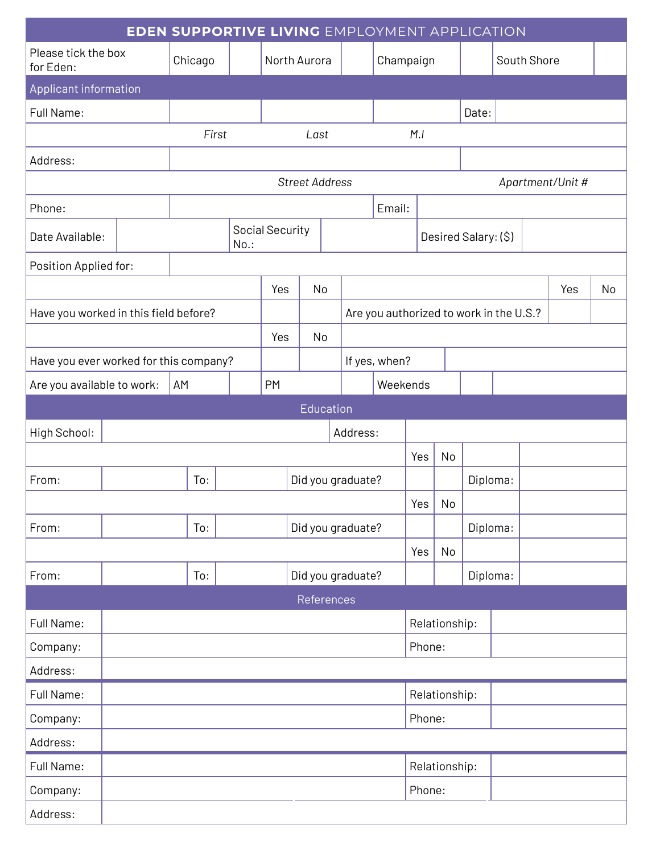| <b>EDEN SUPPORTIVE LIVING EMPLOYMENT APPLICATION</b> |          |  |         |                   |                 |      |                                         |          |               |                      |          |       |             |  |     |    |
|------------------------------------------------------|----------|--|---------|-------------------|-----------------|------|-----------------------------------------|----------|---------------|----------------------|----------|-------|-------------|--|-----|----|
| Please tick the box<br>for Eden:                     |          |  | Chicago | North Aurora      |                 |      |                                         |          |               | Champaign            |          |       | South Shore |  |     |    |
| Applicant information                                |          |  |         |                   |                 |      |                                         |          |               |                      |          |       |             |  |     |    |
| Full Name:                                           |          |  |         |                   |                 |      |                                         |          |               |                      |          | Date: |             |  |     |    |
|                                                      |          |  | First   |                   |                 | Last |                                         |          | M.I           |                      |          |       |             |  |     |    |
| Address:                                             |          |  |         |                   |                 |      |                                         |          |               |                      |          |       |             |  |     |    |
|                                                      |          |  |         |                   |                 |      | <b>Street Address</b>                   |          |               | Apartment/Unit #     |          |       |             |  |     |    |
| Phone:                                               |          |  |         |                   |                 |      |                                         |          | Email:        |                      |          |       |             |  |     |    |
| Date Available:                                      |          |  | $No.$ : |                   | Social Security |      |                                         |          |               | Desired Salary: (\$) |          |       |             |  |     |    |
| Position Applied for:                                |          |  |         |                   |                 |      |                                         |          |               |                      |          |       |             |  |     |    |
|                                                      |          |  |         | Yes               |                 |      | No                                      |          |               |                      |          |       |             |  | Yes | No |
| Have you worked in this field before?                |          |  |         |                   |                 |      | Are you authorized to work in the U.S.? |          |               |                      |          |       |             |  |     |    |
|                                                      |          |  |         |                   | Yes             |      | No                                      |          |               |                      |          |       |             |  |     |    |
| Have you ever worked for this company?               |          |  |         |                   |                 |      |                                         |          | If yes, when? |                      |          |       |             |  |     |    |
| Are you available to work:<br>AM                     |          |  |         | <b>PM</b>         |                 |      |                                         | Weekends |               |                      |          |       |             |  |     |    |
| Education                                            |          |  |         |                   |                 |      |                                         |          |               |                      |          |       |             |  |     |    |
| High School:                                         | Address: |  |         |                   |                 |      |                                         |          |               |                      |          |       |             |  |     |    |
|                                                      |          |  |         |                   |                 |      |                                         |          | Yes           | No                   |          |       |             |  |     |    |
| From:                                                | To:      |  |         | Did you graduate? |                 |      |                                         |          | Diploma:      |                      |          |       |             |  |     |    |
|                                                      |          |  |         |                   |                 |      |                                         | Yes      | $\vert$ No    |                      |          |       |             |  |     |    |
| From:                                                | To:      |  |         | Did you graduate? |                 |      |                                         |          |               | Diploma:             |          |       |             |  |     |    |
|                                                      |          |  |         |                   |                 |      |                                         |          | Yes           | No                   |          |       |             |  |     |    |
| From:                                                | To:      |  |         | Did you graduate? |                 |      |                                         |          |               |                      | Diploma: |       |             |  |     |    |
| References                                           |          |  |         |                   |                 |      |                                         |          |               |                      |          |       |             |  |     |    |
| Full Name:                                           |          |  |         |                   |                 |      |                                         |          |               | Relationship:        |          |       |             |  |     |    |
| Company:                                             |          |  |         |                   |                 |      |                                         |          |               | Phone:               |          |       |             |  |     |    |
| Address:                                             |          |  |         |                   |                 |      |                                         |          |               |                      |          |       |             |  |     |    |
| Full Name:                                           |          |  |         |                   |                 |      |                                         |          | Relationship: |                      |          |       |             |  |     |    |
| Company:                                             |          |  |         |                   |                 |      |                                         |          | Phone:        |                      |          |       |             |  |     |    |
| Address:                                             |          |  |         |                   |                 |      |                                         |          |               |                      |          |       |             |  |     |    |
| Full Name:                                           |          |  |         |                   |                 |      |                                         |          | Relationship: |                      |          |       |             |  |     |    |
| Company:                                             |          |  |         |                   |                 |      |                                         | Phone:   |               |                      |          |       |             |  |     |    |
| Address:                                             |          |  |         |                   |                 |      |                                         |          |               |                      |          |       |             |  |     |    |